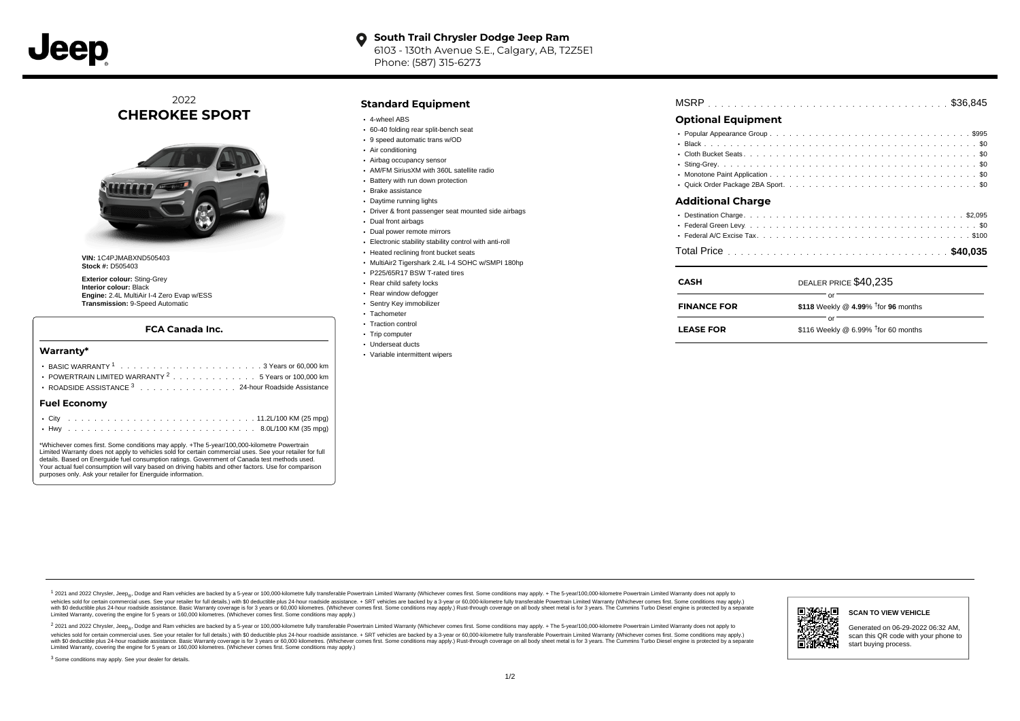

### **South Trail Chrysler Dodge Jeep Ram**  $\bullet$ 6103 - 130th Avenue S.E., Calgary, AB, T2Z5E1 Phone: (587) 315-6273

2022 **CHEROKEE SPORT**



**VIN:** 1C4PJMABXND505403 **Stock #:** D505403

**Exterior colour:** Sting-Grey **Interior colour:** Black **Engine:** 2.4L MultiAir I-4 Zero Evap w/ESS **Transmission:** 9-Speed Automatic

## **FCA Canada Inc.**

#### **Warranty\***

| POWERTRAIN LIMITED WARRANTY $2 \ldots \ldots \ldots \ldots \ldots 5$ Years or 100,000 km |
|------------------------------------------------------------------------------------------|
| ROADSIDE ASSISTANCE 3 24-hour Roadside Assistance                                        |
| <b>Fuel Economy</b>                                                                      |
|                                                                                          |

. . . . . . . . . . . . . . . . . . . . . . . . . . . . . . . . . . . . . . . . . . . Hwy 8.0L/100 KM (35 mpg)

\*Whichever comes first. Some conditions may apply. +The 5-year/100,000-kilometre Powertrain Limited Warranty does not apply to vehicles sold for certain commercial uses. See your retailer for full details. Based on Energuide fuel consumption ratings. Government of Canada test methods used. Your actual fuel consumption will vary based on driving habits and other factors. Use for comparison purposes only. Ask your retailer for Energuide information.

## **Standard Equipment**

- 4-wheel ABS
- 60-40 folding rear split-bench seat
- 9 speed automatic trans w/OD
- Air conditioning
- Airbag occupancy sensor
- AM/FM SiriusXM with 360L satellite radio
- Battery with run down protection Brake assistance
- Daytime running lights
- Driver & front passenger seat mounted side airbags
- Dual front airbags
- Dual power remote mirrors
- Electronic stability stability control with anti-roll
- Heated reclining front bucket seats
- MultiAir2 Tigershark 2.4L I-4 SOHC w/SMPI 180hp
- P225/65R17 BSW T-rated tires
- Rear child safety locks
- Rear window defogger
- Sentry Key immobilizer
- · Tachometer
- Traction control
- Trip computer
- Underseat ducts
- Variable intermittent wipers

| <b>MSRP</b> |  |  |  |  |  |  |  |  |  |  |  |  |  |  |  |  |  |  |  |  |  |  |  |  |  |  |  |  |  |  |  |  |  |  |  |  |  |  |  |  |
|-------------|--|--|--|--|--|--|--|--|--|--|--|--|--|--|--|--|--|--|--|--|--|--|--|--|--|--|--|--|--|--|--|--|--|--|--|--|--|--|--|--|
|-------------|--|--|--|--|--|--|--|--|--|--|--|--|--|--|--|--|--|--|--|--|--|--|--|--|--|--|--|--|--|--|--|--|--|--|--|--|--|--|--|--|

# **Optional Equipment**

| <b>Additional Charge</b>       |  |  |  |  |  |  |
|--------------------------------|--|--|--|--|--|--|
| Doctination Charge<br>$CO$ $O$ |  |  |  |  |  |  |

| DEALER PRICE \$40,235<br><b>CASH</b><br>Ωľ |  |  |  |  |  |
|--------------------------------------------|--|--|--|--|--|
|                                            |  |  |  |  |  |
|                                            |  |  |  |  |  |
|                                            |  |  |  |  |  |
|                                            |  |  |  |  |  |

| <b>FINANCE FOR</b> | \$118 Weekly @ 4.99% $\dagger$ for 96 months |
|--------------------|----------------------------------------------|
|                    | nr.                                          |
| <b>LEASE FOR</b>   | \$116 Weekly @ 6.99% $\dagger$ for 60 months |

1 2021 and 2022 Chrysler, Jeep<sub>er</sub>, Dodge and Ram vehicles are backed by a 5-year or 100,000-kilometre fully transferable Powertrain Limited Warranty (Whichever comes first. Some conditions may apply. + The 5-year/100,000vehicles sold for certain commercial uses. See your retailer for full details.) with \$0 deductible plus 24-hour roadside assistance. + SRT vehicles are backed by a 3-year or 60,000-kilometre fully transferable Powertrain L versus and contract the mean of the contract of the contract with a contract with a contract the contract of the search of the contract and a control of the contract and contract and control of the search of the search of Limited Warranty, covering the engine for 5 years or 160,000 kilometres. (Whichever comes first. Some conditions may apply.)

<sup>2</sup> 2021 and 2022 Chrysler, Jeep<sub>®</sub>, Dodge and Ram vehicles are backed by a 5-year or 100,000-kilometre fully transferable Powertrain Limited Warranty (Whichever comes first. Some conditions may apply. + The 5-year/100,000 vehicles sold for certain commercial uses. See your retailer for full details.) with SO deductible plus 24-hour roadside assistance. + SRT vehicles are backed by a 3-year or 60.000-kilometre fully transferable Powertrain L with S0 deductible plus 24-hour roadside assistance. Basic Warranty coverage is for 3 years or 60,000 kilometres. (Whichever comes first. Some conditions may apply.) Rust-through coverage on all body sheet metal is for 3 y



**SCAN TO VIEW VEHICLE**

Generated on 06-29-2022 06:32 AM, scan this QR code with your phone to start buying process.

<sup>3</sup> Some conditions may apply. See your dealer for details.